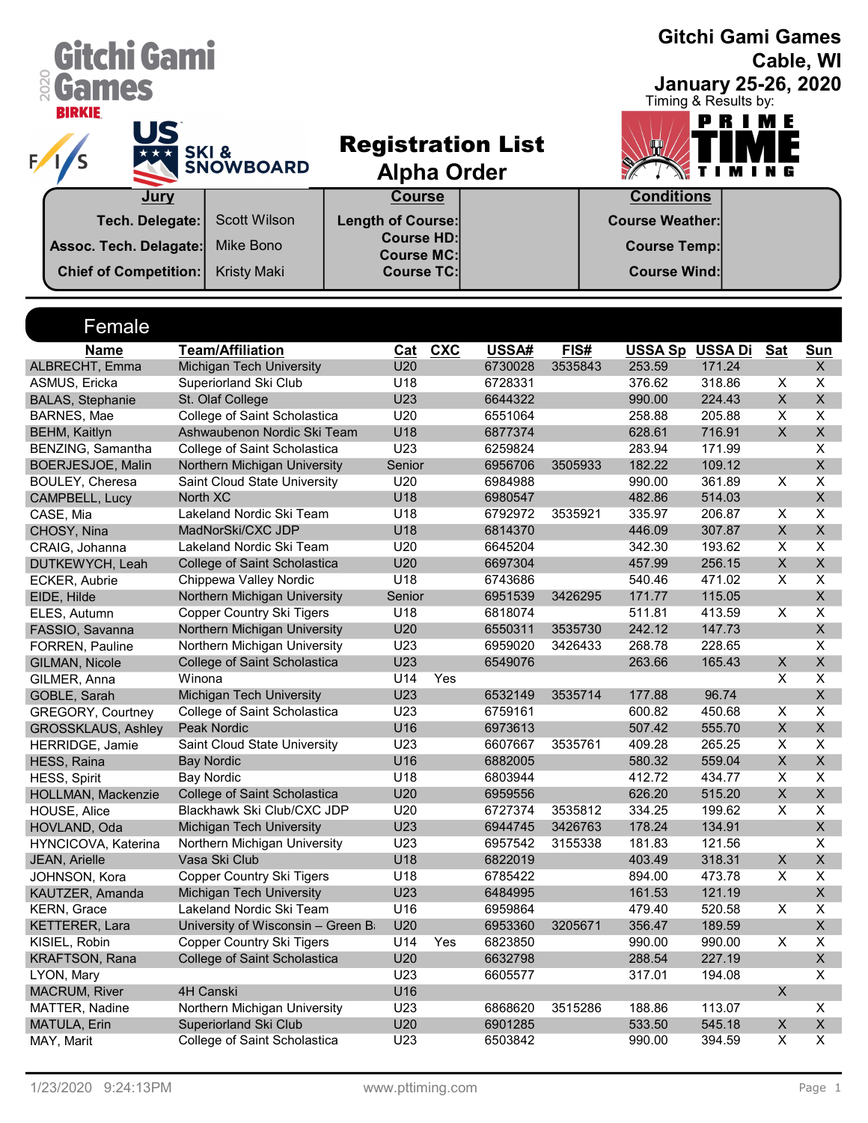| Gitchi Gami                                  |                                                              |                                               |     |                          |         |                        | <b>Gitchi Gami Games</b>   |                         | Cable, WI                     |
|----------------------------------------------|--------------------------------------------------------------|-----------------------------------------------|-----|--------------------------|---------|------------------------|----------------------------|-------------------------|-------------------------------|
| <b>&amp; Games</b>                           |                                                              |                                               |     |                          |         |                        | <b>January 25-26, 2020</b> |                         |                               |
| <b>BIRKIE</b>                                |                                                              |                                               |     |                          |         |                        | Timing & Results by:       |                         |                               |
| US                                           |                                                              |                                               |     |                          |         |                        | PRIME                      |                         |                               |
|                                              | <b>SKI&amp;</b>                                              |                                               |     | <b>Registration List</b> |         |                        |                            |                         |                               |
|                                              | <b>SNOWBOARD</b>                                             | <b>Alpha Order</b>                            |     |                          |         |                        | Т                          |                         |                               |
| Jury                                         |                                                              | <b>Course</b>                                 |     |                          |         | <b>Conditions</b>      |                            |                         |                               |
|                                              |                                                              |                                               |     |                          |         |                        |                            |                         |                               |
| Tech. Delegate:                              | <b>Scott Wilson</b>                                          | <b>Length of Course:</b><br><b>Course HD:</b> |     |                          |         | <b>Course Weather:</b> |                            |                         |                               |
| Assoc. Tech. Delagate:                       | Mike Bono                                                    | <b>Course MC:</b>                             |     |                          |         | <b>Course Temp:</b>    |                            |                         |                               |
| <b>Chief of Competition:</b>                 | <b>Kristy Maki</b>                                           | <b>Course TC:</b>                             |     |                          |         | <b>Course Wind:</b>    |                            |                         |                               |
|                                              |                                                              |                                               |     |                          |         |                        |                            |                         |                               |
|                                              |                                                              |                                               |     |                          |         |                        |                            |                         |                               |
| Female                                       |                                                              |                                               |     |                          |         |                        |                            |                         |                               |
| <b>Name</b>                                  | <b>Team/Affiliation</b>                                      | Cat                                           | CXC | USSA#                    | FIS#    |                        | <b>USSA Sp USSA Di</b>     | <b>Sat</b>              | <b>Sun</b>                    |
| ALBRECHT, Emma                               | Michigan Tech University                                     | U20                                           |     | 6730028                  | 3535843 | 253.59                 | 171.24                     |                         | X                             |
| ASMUS, Ericka                                | Superiorland Ski Club                                        | U <sub>18</sub>                               |     | 6728331                  |         | 376.62                 | 318.86                     | X                       | X                             |
| <b>BALAS, Stephanie</b>                      | St. Olaf College                                             | U23                                           |     | 6644322                  |         | 990.00                 | 224.43                     | $\mathsf X$             | $\mathsf X$                   |
| BARNES, Mae                                  | College of Saint Scholastica                                 | U20                                           |     | 6551064                  |         | 258.88                 | 205.88                     | $\overline{\mathsf{x}}$ | $\pmb{\mathsf{X}}$            |
| <b>BEHM, Kaitlyn</b>                         | Ashwaubenon Nordic Ski Team                                  | U18<br><b>U23</b>                             |     | 6877374                  |         | 628.61                 | 716.91                     | $\mathsf{X}$            | $\mathsf X$<br>$\pmb{\times}$ |
| BENZING, Samantha                            | College of Saint Scholastica<br>Northern Michigan University | Senior                                        |     | 6259824                  |         | 283.94<br>182.22       | 171.99                     |                         | $\mathsf X$                   |
| BOERJESJOE, Malin<br>BOULEY, Cheresa         | Saint Cloud State University                                 | U20                                           |     | 6956706<br>6984988       | 3505933 | 990.00                 | 109.12<br>361.89           | $\overline{\mathsf{X}}$ | $\pmb{\times}$                |
| CAMPBELL, Lucy                               | North XC                                                     | U <sub>18</sub>                               |     | 6980547                  |         | 482.86                 | 514.03                     |                         | $\mathsf{X}$                  |
| CASE, Mia                                    | Lakeland Nordic Ski Team                                     | U18                                           |     | 6792972                  | 3535921 | 335.97                 | 206.87                     | X                       | X                             |
| CHOSY, Nina                                  | MadNorSki/CXC JDP                                            | U18                                           |     | 6814370                  |         | 446.09                 | 307.87                     | $\pmb{\times}$          | $\mathsf X$                   |
| CRAIG, Johanna                               | Lakeland Nordic Ski Team                                     | U20                                           |     | 6645204                  |         | 342.30                 | 193.62                     | X                       | $\overline{\mathsf{x}}$       |
| DUTKEWYCH, Leah                              | College of Saint Scholastica                                 | U20                                           |     | 6697304                  |         | 457.99                 | 256.15                     | $\mathsf{X}$            | X                             |
| <b>ECKER, Aubrie</b>                         | Chippewa Valley Nordic                                       | U18                                           |     | 6743686                  |         | 540.46                 | 471.02                     | X                       | X                             |
| EIDE, Hilde                                  | Northern Michigan University                                 | Senior                                        |     | 6951539                  | 3426295 | 171.77                 | 115.05                     |                         | $\mathsf{X}$                  |
| ELES, Autumn                                 | <b>Copper Country Ski Tigers</b>                             | U18                                           |     | 6818074                  |         | 511.81                 | 413.59                     | X                       | X                             |
| FASSIO, Savanna                              | Northern Michigan University                                 | U20                                           |     | 6550311                  | 3535730 | 242.12                 | 147.73                     |                         | $\mathsf X$                   |
| FORREN, Pauline                              | Northern Michigan University                                 | U23                                           |     | 6959020                  | 3426433 | 268.78                 | 228.65                     |                         | X                             |
| GILMAN, Nicole                               | College of Saint Scholastica                                 | U23                                           |     | 6549076                  |         | 263.66                 | 165.43                     | X,                      | $\pmb{\mathsf{X}}$            |
| GILMER, Anna                                 | Winona                                                       | U14                                           | Yes |                          |         |                        |                            | X                       | $\pmb{\times}$                |
| GOBLE, Sarah                                 | Michigan Tech University                                     | U23                                           |     | 6532149                  | 3535714 | 177.88                 | 96.74                      |                         | $\mathsf{X}$                  |
| <b>GREGORY, Courtney</b>                     | College of Saint Scholastica                                 | U23                                           |     | 6759161                  |         | 600.82                 | 450.68                     | X<br>$\mathsf X$        | X                             |
| <b>GROSSKLAUS, Ashley</b><br>HERRIDGE, Jamie | Peak Nordic<br>Saint Cloud State University                  | U16<br>U23                                    |     | 6973613<br>6607667       | 3535761 | 507.42<br>409.28       | 555.70<br>265.25           | X                       | X<br>X                        |
| HESS, Raina                                  | <b>Bay Nordic</b>                                            | U16                                           |     | 6882005                  |         | 580.32                 | 559.04                     | $\mathsf X$             | X                             |
| <b>HESS, Spirit</b>                          | <b>Bay Nordic</b>                                            | U18                                           |     | 6803944                  |         | 412.72                 | 434.77                     | X                       | X                             |
| HOLLMAN, Mackenzie                           | College of Saint Scholastica                                 | U20                                           |     | 6959556                  |         | 626.20                 | 515.20                     | X                       | X                             |
| HOUSE, Alice                                 | Blackhawk Ski Club/CXC JDP                                   | U20                                           |     | 6727374                  | 3535812 | 334.25                 | 199.62                     | X                       | X                             |
| HOVLAND, Oda                                 | Michigan Tech University                                     | U23                                           |     | 6944745                  | 3426763 | 178.24                 | 134.91                     |                         | X                             |
| HYNCICOVA, Katerina                          | Northern Michigan University                                 | U23                                           |     | 6957542                  | 3155338 | 181.83                 | 121.56                     |                         | X                             |
| JEAN, Arielle                                | Vasa Ski Club                                                | U18                                           |     | 6822019                  |         | 403.49                 | 318.31                     | X                       | $\mathsf{X}$                  |
| JOHNSON, Kora                                | <b>Copper Country Ski Tigers</b>                             | U18                                           |     | 6785422                  |         | 894.00                 | 473.78                     | X                       | X                             |
| KAUTZER, Amanda                              | Michigan Tech University                                     | U23                                           |     | 6484995                  |         | 161.53                 | 121.19                     |                         | $\mathsf{X}$                  |
| KERN, Grace                                  | Lakeland Nordic Ski Team                                     | U16                                           |     | 6959864                  |         | 479.40                 | 520.58                     | X                       | X                             |
| KETTERER, Lara                               | University of Wisconsin - Green B                            | U20                                           |     | 6953360                  | 3205671 | 356.47                 | 189.59                     |                         | $\mathsf{X}$                  |
| KISIEL, Robin                                | <b>Copper Country Ski Tigers</b>                             | U14                                           | Yes | 6823850                  |         | 990.00                 | 990.00                     | X                       | $\mathsf{X}$                  |
| KRAFTSON, Rana                               | College of Saint Scholastica                                 | U20                                           |     | 6632798                  |         | 288.54                 | 227.19                     |                         | X                             |
| LYON, Mary<br><b>MACRUM, River</b>           | 4H Canski                                                    | U23<br>U16                                    |     | 6605577                  |         | 317.01                 | 194.08                     | $\mathsf{X}$            | X                             |
| MATTER, Nadine                               | Northern Michigan University                                 | U23                                           |     | 6868620                  | 3515286 | 188.86                 | 113.07                     |                         | X                             |
| MATULA, Erin                                 | Superiorland Ski Club                                        | U20                                           |     | 6901285                  |         | 533.50                 | 545.18                     | X                       | X                             |
| MAY, Marit                                   | College of Saint Scholastica                                 | U23                                           |     | 6503842                  |         | 990.00                 | 394.59                     | $\overline{X}$          | X                             |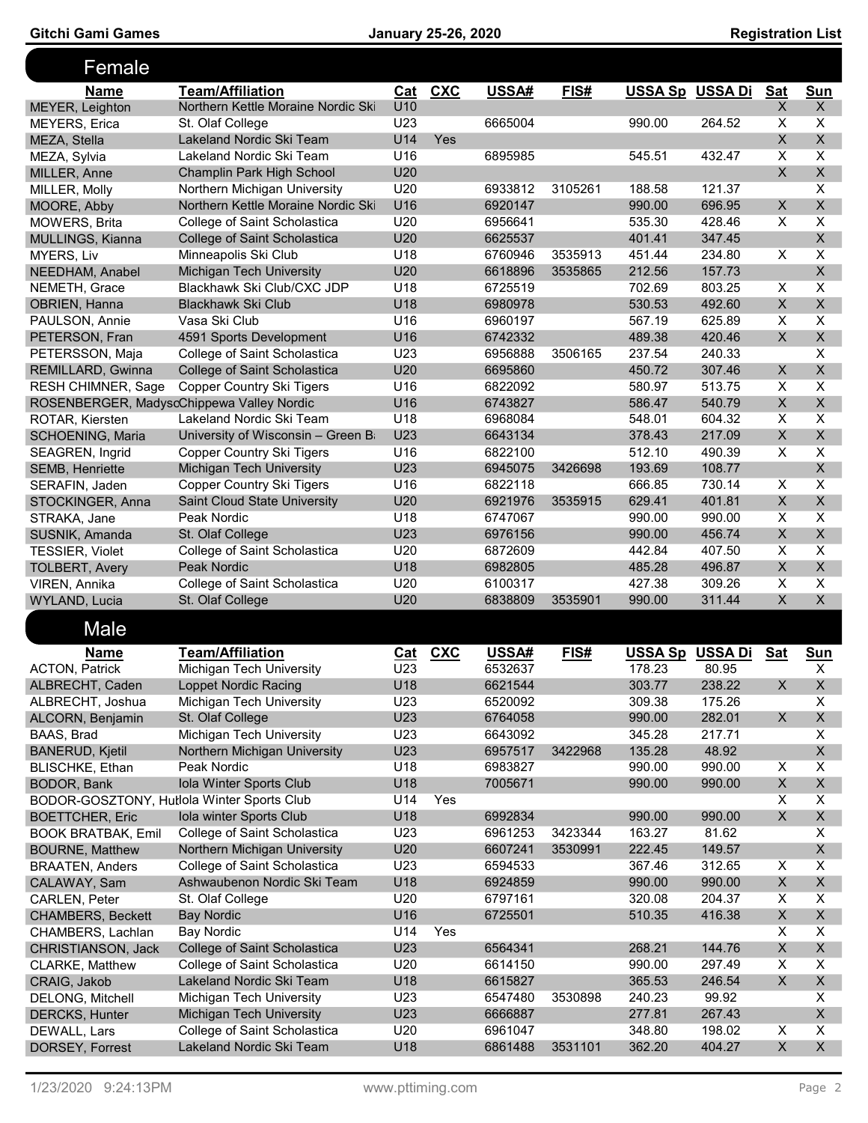| Female                    |                                            |                 |            |         |         |                        |         |                         |                         |
|---------------------------|--------------------------------------------|-----------------|------------|---------|---------|------------------------|---------|-------------------------|-------------------------|
| <b>Name</b>               | <b>Team/Affiliation</b>                    | Cat             | <b>CXC</b> | USSA#   | FIS#    | <b>USSA Sp USSA Di</b> |         | <b>Sat</b>              | Sun                     |
| MEYER, Leighton           | Northern Kettle Moraine Nordic Sk          | U10             |            |         |         |                        |         | X                       | X                       |
| <b>MEYERS, Erica</b>      | St. Olaf College                           | U <sub>23</sub> |            | 6665004 |         | 990.00                 | 264.52  | X                       | X                       |
| MEZA, Stella              | Lakeland Nordic Ski Team                   | U14             | Yes        |         |         |                        |         | X                       | $\mathsf{X}$            |
| MEZA, Sylvia              | Lakeland Nordic Ski Team                   | U <sub>16</sub> |            | 6895985 |         | 545.51                 | 432.47  | X                       | X                       |
| MILLER, Anne              | Champlin Park High School                  | U <sub>20</sub> |            |         |         |                        |         | $\mathsf{X}$            | $\mathsf{X}$            |
| MILLER, Molly             | Northern Michigan University               | U20             |            | 6933812 | 3105261 | 188.58                 | 121.37  |                         | $\mathsf{x}$            |
| MOORE, Abby               | Northern Kettle Moraine Nordic Sk          | U16             |            | 6920147 |         | 990.00                 | 696.95  | $\mathsf{X}$            | $\mathsf{X}$            |
| <b>MOWERS, Brita</b>      | College of Saint Scholastica               | U20             |            | 6956641 |         | 535.30                 | 428.46  | X                       | X                       |
| MULLINGS, Kianna          | College of Saint Scholastica               | U20             |            | 6625537 |         | 401.41                 | 347.45  |                         | $\mathsf{X}$            |
| MYERS, Liv                | Minneapolis Ski Club                       | U18             |            | 6760946 | 3535913 | 451.44                 | 234.80  | X                       | $\overline{\mathsf{x}}$ |
| NEEDHAM, Anabel           | Michigan Tech University                   | U20             |            | 6618896 | 3535865 | 212.56                 | 157.73  |                         | $\overline{X}$          |
| NEMETH, Grace             | Blackhawk Ski Club/CXC JDP                 | U18             |            | 6725519 |         | 702.69                 | 803.25  | $\overline{\mathsf{x}}$ | X                       |
| OBRIEN, Hanna             | <b>Blackhawk Ski Club</b>                  | U18             |            | 6980978 |         | 530.53                 | 492.60  | $\mathsf{X}$            | $\overline{X}$          |
| PAULSON, Annie            | Vasa Ski Club                              | U16             |            | 6960197 |         | 567.19                 | 625.89  | X                       | X                       |
| PETERSON, Fran            | 4591 Sports Development                    | U16             |            | 6742332 |         | 489.38                 | 420.46  | $\mathsf{X}$            | $\mathsf{X}$            |
| PETERSSON, Maja           | College of Saint Scholastica               | U23             |            | 6956888 | 3506165 | 237.54                 | 240.33  |                         | $\overline{\mathsf{x}}$ |
| REMILLARD, Gwinna         | College of Saint Scholastica               | U <sub>20</sub> |            | 6695860 |         | 450.72                 | 307.46  | $\times$                | $\mathsf{X}$            |
| <b>RESH CHIMNER, Sage</b> | <b>Copper Country Ski Tigers</b>           | U <sub>16</sub> |            | 6822092 |         | 580.97                 | 513.75  | X                       | X                       |
|                           | ROSENBERGER, MadyscChippewa Valley Nordic  | U16             |            | 6743827 |         | 586.47                 | 540.79  | X                       | X                       |
| ROTAR, Kiersten           | Lakeland Nordic Ski Team                   | U18             |            | 6968084 |         | 548.01                 | 604.32  | X                       | X                       |
| <b>SCHOENING, Maria</b>   | University of Wisconsin - Green B          | U23             |            | 6643134 |         | 378.43                 | 217.09  | X                       | $\mathsf{X}$            |
| SEAGREN, Ingrid           | <b>Copper Country Ski Tigers</b>           | U <sub>16</sub> |            | 6822100 |         | 512.10                 | 490.39  | X                       | X                       |
| SEMB, Henriette           | Michigan Tech University                   | <b>U23</b>      |            | 6945075 | 3426698 | 193.69                 | 108.77  |                         | $\mathsf{X}$            |
| SERAFIN, Jaden            | <b>Copper Country Ski Tigers</b>           | U16             |            | 6822118 |         | 666.85                 | 730.14  | X                       | X                       |
| STOCKINGER, Anna          | Saint Cloud State University               | U20             |            | 6921976 | 3535915 | 629.41                 | 401.81  | $\mathsf{X}$            | $\mathsf{X}$            |
| STRAKA, Jane              | Peak Nordic                                | U18             |            | 6747067 |         | 990.00                 | 990.00  | $\overline{\mathsf{x}}$ | $\overline{\mathsf{x}}$ |
| SUSNIK, Amanda            | St. Olaf College                           | U23             |            | 6976156 |         | 990.00                 | 456.74  | X                       | $\mathsf{X}$            |
| <b>TESSIER, Violet</b>    | College of Saint Scholastica               | U20             |            | 6872609 |         | 442.84                 | 407.50  | X                       | $\mathsf{x}$            |
| <b>TOLBERT, Avery</b>     | Peak Nordic                                | U18             |            | 6982805 |         | 485.28                 | 496.87  | $\mathsf{X}$            | $\mathsf{X}$            |
| VIREN, Annika             | College of Saint Scholastica               | U20             |            | 6100317 |         | 427.38                 | 309.26  | X                       | X                       |
| WYLAND, Lucia             | St. Olaf College                           | U20             |            | 6838809 | 3535901 | 990.00                 | 311.44  | X                       | X                       |
| Male                      |                                            |                 |            |         |         |                        |         |                         |                         |
| <b>Name</b>               | <b>Team/Affiliation</b>                    | Cat             | CXC        | USSA#   | FIS#    | <u>USSA Sp</u>         | USSA Di | <b>Sat</b>              | <b>Sun</b>              |
| <b>ACTON, Patrick</b>     | Michigan Tech University                   | U23             |            | 6532637 |         | 178.23                 | 80.95   |                         | X                       |
| ALBRECHT, Caden           | Loppet Nordic Racing                       | U18             |            | 6621544 |         | 303.77                 | 238.22  | X                       | X                       |
| ALBRECHT, Joshua          | Michigan Tech University                   | U23             |            | 6520092 |         | 309.38                 | 175.26  |                         | X                       |
| ALCORN, Benjamin          | St. Olaf College                           | U23             |            | 6764058 |         | 990.00                 | 282.01  | X                       | $\mathsf X$             |
| BAAS, Brad                | Michigan Tech University                   | U23             |            | 6643092 |         | 345.28                 | 217.71  |                         | X                       |
| <b>BANERUD, Kjetil</b>    | Northern Michigan University               | U23             |            | 6957517 | 3422968 | 135.28                 | 48.92   |                         | $\mathsf{X}$            |
| <b>BLISCHKE, Ethan</b>    | Peak Nordic                                | U18             |            | 6983827 |         | 990.00                 | 990.00  | X                       | X                       |
| BODOR, Bank               | Iola Winter Sports Club                    | U18             |            | 7005671 |         | 990.00                 | 990.00  | $\pmb{\times}$          | $\mathsf{X}$            |
|                           | BODOR-GOSZTONY, Hutlola Winter Sports Club | U14             | Yes        |         |         |                        |         | X                       | X                       |
| <b>BOETTCHER, Eric</b>    | Iola winter Sports Club                    | U18             |            | 6992834 |         | 990.00                 | 990.00  | X                       | $\pmb{\times}$          |
| <b>BOOK BRATBAK, Emil</b> | College of Saint Scholastica               | U23             |            | 6961253 | 3423344 | 163.27                 | 81.62   |                         | X                       |
| <b>BOURNE, Matthew</b>    | Northern Michigan University               | U20             |            | 6607241 | 3530991 | 222.45                 | 149.57  |                         | $\mathsf{X}$            |
| <b>BRAATEN, Anders</b>    | College of Saint Scholastica               | U23             |            | 6594533 |         | 367.46                 | 312.65  | X                       | X                       |
| CALAWAY, Sam              | Ashwaubenon Nordic Ski Team                | U18             |            | 6924859 |         | 990.00                 | 990.00  | $\pmb{\times}$          | $\pmb{\times}$          |
| CARLEN, Peter             | St. Olaf College                           | U20             |            | 6797161 |         | 320.08                 | 204.37  | X                       | X                       |
| <b>CHAMBERS, Beckett</b>  | <b>Bay Nordic</b>                          | U16             |            | 6725501 |         | 510.35                 | 416.38  | $\pmb{\times}$          | $\mathsf{X}$            |
| CHAMBERS, Lachlan         | <b>Bay Nordic</b>                          | U14             | Yes        |         |         |                        |         | X                       | X                       |
| CHRISTIANSON, Jack        | College of Saint Scholastica               | U23             |            | 6564341 |         | 268.21                 | 144.76  | X                       | $\mathsf X$             |
| <b>CLARKE, Matthew</b>    | College of Saint Scholastica               | U20             |            | 6614150 |         | 990.00                 | 297.49  | X                       | X                       |
| CRAIG, Jakob              | Lakeland Nordic Ski Team                   | U18             |            | 6615827 |         | 365.53                 | 246.54  | X                       | $\mathsf{X}$            |
| DELONG, Mitchell          | Michigan Tech University                   | U23             |            | 6547480 | 3530898 | 240.23                 | 99.92   |                         | X                       |
| <b>DERCKS, Hunter</b>     | Michigan Tech University                   | U23             |            | 6666887 |         | 277.81                 | 267.43  |                         | $\mathsf{X}$            |
| DEWALL, Lars              | College of Saint Scholastica               | U20             |            | 6961047 |         | 348.80                 | 198.02  | X                       | X                       |
| DORSEY, Forrest           | Lakeland Nordic Ski Team                   | U18             |            | 6861488 | 3531101 | 362.20                 | 404.27  | $\mathsf X$             | $\mathsf{X}$            |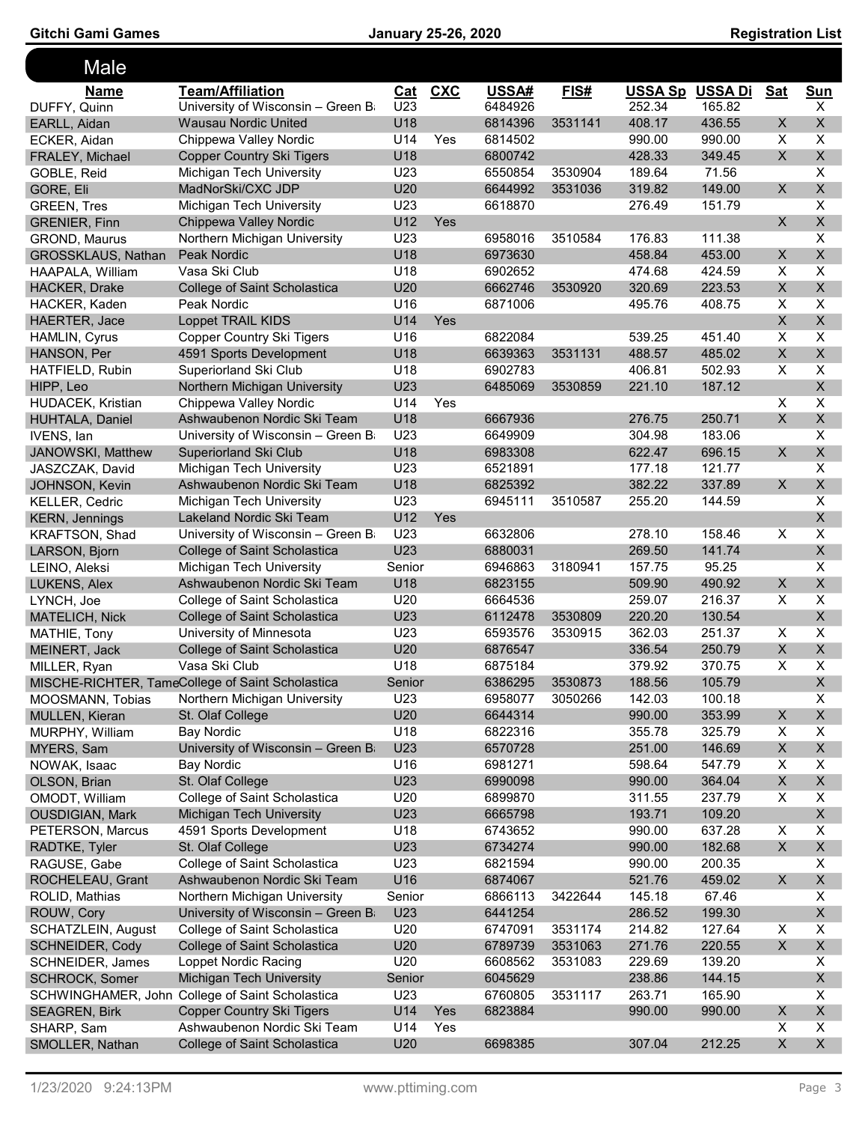Gitchi Gami Games **Cami Cames January 25-26, 2020 Registration List** 

| Male                     |                                                  |                 |            |         |         |                        |        |              |                           |
|--------------------------|--------------------------------------------------|-----------------|------------|---------|---------|------------------------|--------|--------------|---------------------------|
| <b>Name</b>              | <b>Team/Affiliation</b>                          | Cat             | CXC        | USSA#   | FIS#    | <b>USSA Sp USSA Di</b> |        | <b>Sat</b>   | <b>Sun</b>                |
| DUFFY, Quinn             | University of Wisconsin - Green B                | U23             |            | 6484926 |         | 252.34                 | 165.82 |              | X                         |
| EARLL, Aidan             | <b>Wausau Nordic United</b>                      | U18             |            | 6814396 | 3531141 | 408.17                 | 436.55 | X            | X                         |
| ECKER, Aidan             | Chippewa Valley Nordic                           | U14             | Yes        | 6814502 |         | 990.00                 | 990.00 | X            | X                         |
| FRALEY, Michael          | <b>Copper Country Ski Tigers</b>                 | U18             |            | 6800742 |         | 428.33                 | 349.45 | X            | X                         |
| GOBLE, Reid              | Michigan Tech University                         | U23             |            | 6550854 | 3530904 | 189.64                 | 71.56  |              | X                         |
| GORE, Eli                | MadNorSki/CXC JDP                                | U <sub>20</sub> |            | 6644992 | 3531036 | 319.82                 | 149.00 | X.           | $\mathsf{X}$              |
| <b>GREEN, Tres</b>       | Michigan Tech University                         | U23             |            | 6618870 |         | 276.49                 | 151.79 |              | X                         |
| <b>GRENIER, Finn</b>     | Chippewa Valley Nordic                           | U12             | Yes        |         |         |                        |        | $\mathsf{X}$ | $\mathsf X$               |
| <b>GROND, Maurus</b>     | Northern Michigan University                     | U23             |            | 6958016 | 3510584 | 176.83                 | 111.38 |              | $\pmb{\times}$            |
| GROSSKLAUS, Nathan       | Peak Nordic                                      | U18             |            | 6973630 |         | 458.84                 | 453.00 | $\mathsf{X}$ | $\mathsf X$               |
| HAAPALA, William         | Vasa Ski Club                                    | U18             |            | 6902652 |         | 474.68                 | 424.59 | X            | $\overline{\mathsf{x}}$   |
| HACKER, Drake            | College of Saint Scholastica                     | U20             |            | 6662746 | 3530920 | 320.69                 | 223.53 | X            | X                         |
| HACKER, Kaden            | Peak Nordic                                      | U16             |            | 6871006 |         | 495.76                 | 408.75 | X            | X                         |
| <b>HAERTER, Jace</b>     | <b>Loppet TRAIL KIDS</b>                         | U14             | <b>Yes</b> |         |         |                        |        | $\mathsf{X}$ | $\mathsf{X}$              |
| HAMLIN, Cyrus            | <b>Copper Country Ski Tigers</b>                 | U16             |            | 6822084 |         | 539.25                 | 451.40 | X            | $\overline{\mathsf{x}}$   |
| HANSON, Per              | 4591 Sports Development                          | U18             |            | 6639363 | 3531131 | 488.57                 | 485.02 | X            | $\mathsf{X}$              |
| HATFIELD, Rubin          | Superiorland Ski Club                            | U18             |            | 6902783 |         | 406.81                 | 502.93 | X            | $\overline{\mathsf{x}}$   |
| HIPP, Leo                | Northern Michigan University                     | U23             |            | 6485069 | 3530859 | 221.10                 | 187.12 |              | $\mathsf{X}$              |
| <b>HUDACEK, Kristian</b> | Chippewa Valley Nordic                           | U14             | Yes        |         |         |                        |        | X            | $\overline{\mathsf{X}}$   |
| HUHTALA, Daniel          | Ashwaubenon Nordic Ski Team                      | U18             |            | 6667936 |         | 276.75                 | 250.71 | X            | $\mathsf{X}$              |
| IVENS, lan               | University of Wisconsin - Green B                | U23             |            | 6649909 |         | 304.98                 | 183.06 |              | X                         |
| JANOWSKI, Matthew        | Superiorland Ski Club                            | U <sub>18</sub> |            | 6983308 |         | 622.47                 | 696.15 | $\mathsf{X}$ | $\mathsf{X}$              |
| JASZCZAK, David          | Michigan Tech University                         | U <sub>23</sub> |            | 6521891 |         | 177.18                 | 121.77 |              | $\sf X$                   |
| JOHNSON, Kevin           | Ashwaubenon Nordic Ski Team                      | U18             |            | 6825392 |         | 382.22                 | 337.89 | $\mathsf{X}$ | $\mathsf X$               |
| <b>KELLER, Cedric</b>    | Michigan Tech University                         | U23             |            | 6945111 | 3510587 | 255.20                 | 144.59 |              | $\overline{\mathsf{x}}$   |
| <b>KERN, Jennings</b>    | Lakeland Nordic Ski Team                         | U12             | Yes        |         |         |                        |        |              | $\mathsf{X}$              |
| <b>KRAFTSON, Shad</b>    | University of Wisconsin - Green B                | U23             |            | 6632806 |         | 278.10                 | 158.46 | X            | $\overline{\mathsf{x}}$   |
| LARSON, Bjorn            | College of Saint Scholastica                     | U23             |            | 6880031 |         | 269.50                 | 141.74 |              | X                         |
| LEINO, Aleksi            | Michigan Tech University                         | Senior          |            | 6946863 | 3180941 | 157.75                 | 95.25  |              | X                         |
| LUKENS, Alex             | Ashwaubenon Nordic Ski Team                      | U18             |            | 6823155 |         | 509.90                 | 490.92 | X            | $\mathsf{X}$              |
| LYNCH, Joe               | College of Saint Scholastica                     | U20             |            | 6664536 |         | 259.07                 | 216.37 | X            | $\overline{\mathsf{x}}$   |
| <b>MATELICH, Nick</b>    | College of Saint Scholastica                     | U23             |            | 6112478 | 3530809 | 220.20                 | 130.54 |              | $\mathsf{X}$              |
| MATHIE, Tony             | University of Minnesota                          | U <sub>23</sub> |            | 6593576 | 3530915 | 362.03                 | 251.37 | X            | X                         |
| MEINERT, Jack            | College of Saint Scholastica                     | U20             |            | 6876547 |         | 336.54                 | 250.79 | X            | X                         |
| MILLER, Ryan             | Vasa Ski Club                                    | U18             |            | 6875184 |         | 379.92                 | 370.75 | X            | X                         |
|                          | MISCHE-RICHTER, TameCollege of Saint Scholastica | Senior          |            | 6386295 | 3530873 | 188.56                 | 105.79 |              | $\mathsf{X}$              |
| MOOSMANN, Tobias         | Northern Michigan University                     | U23             |            | 6958077 | 3050266 | 142.03                 | 100.18 |              | X.                        |
| <b>MULLEN, Kieran</b>    | St. Olaf College                                 | U20             |            | 6644314 |         | 990.00                 | 353.99 | X            | $\mathsf{X}$              |
| MURPHY, William          | <b>Bay Nordic</b>                                | U18             |            | 6822316 |         | 355.78                 | 325.79 | X            | X                         |
| MYERS, Sam               | University of Wisconsin - Green B                | U23             |            | 6570728 |         | 251.00                 | 146.69 | X            | $\mathsf{X}$              |
| NOWAK, Isaac             | <b>Bay Nordic</b>                                | U16             |            | 6981271 |         | 598.64                 | 547.79 | X            | X                         |
| OLSON, Brian             | St. Olaf College                                 | U23             |            | 6990098 |         | 990.00                 | 364.04 | X            | $X -$                     |
| OMODT, William           | College of Saint Scholastica                     | U20             |            | 6899870 |         | 311.55                 | 237.79 | X            | X                         |
| <b>OUSDIGIAN, Mark</b>   | Michigan Tech University                         | U23             |            | 6665798 |         | 193.71                 | 109.20 |              | $\mathsf{X}$              |
| PETERSON, Marcus         | 4591 Sports Development                          | U18             |            | 6743652 |         | 990.00                 | 637.28 | X            | X                         |
| RADTKE, Tyler            | St. Olaf College                                 | U23             |            | 6734274 |         | 990.00                 | 182.68 | X            | $\mathsf{X}^-$            |
| RAGUSE, Gabe             | College of Saint Scholastica                     | U23             |            | 6821594 |         | 990.00                 | 200.35 |              | X                         |
| ROCHELEAU, Grant         | Ashwaubenon Nordic Ski Team                      | U16             |            | 6874067 |         | 521.76                 | 459.02 | X            | X                         |
| ROLID, Mathias           | Northern Michigan University                     | Senior          |            | 6866113 | 3422644 | 145.18                 | 67.46  |              | X                         |
| ROUW, Cory               | University of Wisconsin - Green B                | U23             |            | 6441254 |         | 286.52                 | 199.30 |              | X                         |
| SCHATZLEIN, August       | College of Saint Scholastica                     | U20             |            | 6747091 | 3531174 | 214.82                 | 127.64 | X            | X                         |
| SCHNEIDER, Cody          | College of Saint Scholastica                     | U20             |            | 6789739 | 3531063 | 271.76                 | 220.55 | X            | $\boldsymbol{\mathsf{X}}$ |
| SCHNEIDER, James         | Loppet Nordic Racing                             | U20             |            | 6608562 | 3531083 | 229.69                 | 139.20 |              | X                         |
| SCHROCK, Somer           | Michigan Tech University                         | Senior          |            | 6045629 |         | 238.86                 | 144.15 |              | $\boldsymbol{\mathsf{X}}$ |
|                          | SCHWINGHAMER, John College of Saint Scholastica  | U23             |            | 6760805 | 3531117 | 263.71                 | 165.90 |              | X                         |
| <b>SEAGREN, Birk</b>     | <b>Copper Country Ski Tigers</b>                 | U14             | Yes        | 6823884 |         | 990.00                 | 990.00 | X            | X                         |
| SHARP, Sam               | Ashwaubenon Nordic Ski Team                      | U14             | Yes        |         |         |                        |        | X            | X                         |
| SMOLLER, Nathan          | College of Saint Scholastica                     | U20             |            | 6698385 |         | 307.04                 | 212.25 | X            | $X -$                     |